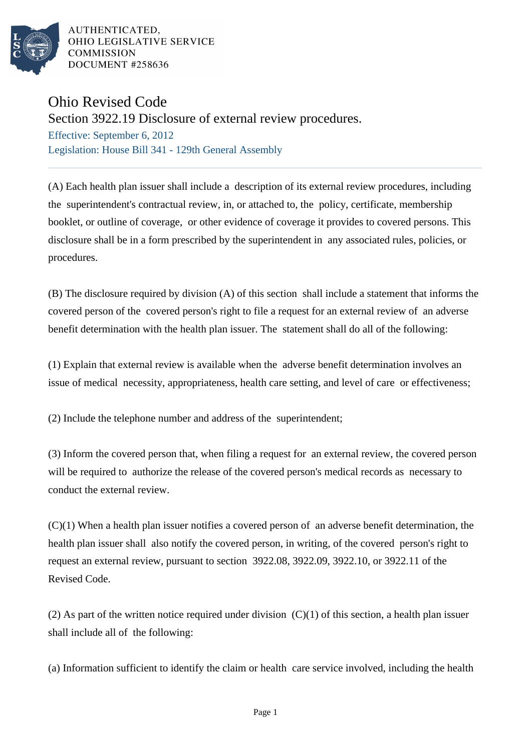

AUTHENTICATED. OHIO LEGISLATIVE SERVICE **COMMISSION** DOCUMENT #258636

## Ohio Revised Code

Section 3922.19 Disclosure of external review procedures.

Effective: September 6, 2012 Legislation: House Bill 341 - 129th General Assembly

(A) Each health plan issuer shall include a description of its external review procedures, including the superintendent's contractual review, in, or attached to, the policy, certificate, membership booklet, or outline of coverage, or other evidence of coverage it provides to covered persons. This disclosure shall be in a form prescribed by the superintendent in any associated rules, policies, or procedures.

(B) The disclosure required by division (A) of this section shall include a statement that informs the covered person of the covered person's right to file a request for an external review of an adverse benefit determination with the health plan issuer. The statement shall do all of the following:

(1) Explain that external review is available when the adverse benefit determination involves an issue of medical necessity, appropriateness, health care setting, and level of care or effectiveness;

(2) Include the telephone number and address of the superintendent;

(3) Inform the covered person that, when filing a request for an external review, the covered person will be required to authorize the release of the covered person's medical records as necessary to conduct the external review.

(C)(1) When a health plan issuer notifies a covered person of an adverse benefit determination, the health plan issuer shall also notify the covered person, in writing, of the covered person's right to request an external review, pursuant to section 3922.08, 3922.09, 3922.10, or 3922.11 of the Revised Code.

(2) As part of the written notice required under division  $(C)(1)$  of this section, a health plan issuer shall include all of the following:

(a) Information sufficient to identify the claim or health care service involved, including the health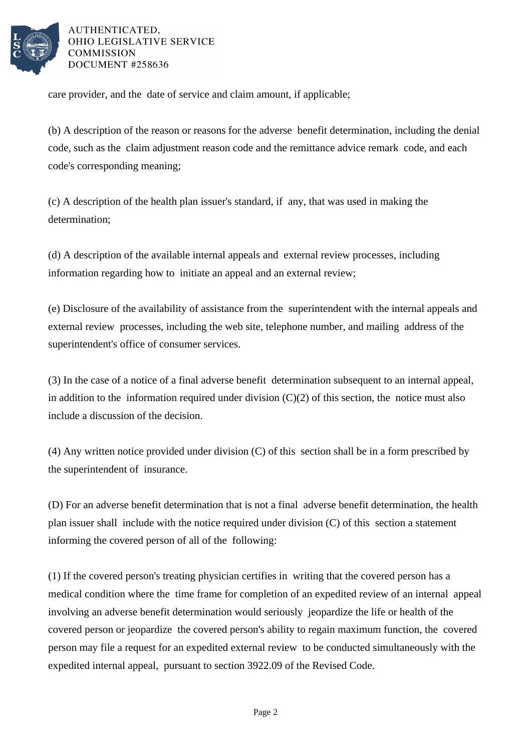

AUTHENTICATED. OHIO LEGISLATIVE SERVICE **COMMISSION** DOCUMENT #258636

care provider, and the date of service and claim amount, if applicable;

(b) A description of the reason or reasons for the adverse benefit determination, including the denial code, such as the claim adjustment reason code and the remittance advice remark code, and each code's corresponding meaning;

(c) A description of the health plan issuer's standard, if any, that was used in making the determination;

(d) A description of the available internal appeals and external review processes, including information regarding how to initiate an appeal and an external review;

(e) Disclosure of the availability of assistance from the superintendent with the internal appeals and external review processes, including the web site, telephone number, and mailing address of the superintendent's office of consumer services.

(3) In the case of a notice of a final adverse benefit determination subsequent to an internal appeal, in addition to the information required under division  $(C)(2)$  of this section, the notice must also include a discussion of the decision.

(4) Any written notice provided under division (C) of this section shall be in a form prescribed by the superintendent of insurance.

(D) For an adverse benefit determination that is not a final adverse benefit determination, the health plan issuer shall include with the notice required under division (C) of this section a statement informing the covered person of all of the following:

(1) If the covered person's treating physician certifies in writing that the covered person has a medical condition where the time frame for completion of an expedited review of an internal appeal involving an adverse benefit determination would seriously jeopardize the life or health of the covered person or jeopardize the covered person's ability to regain maximum function, the covered person may file a request for an expedited external review to be conducted simultaneously with the expedited internal appeal, pursuant to section 3922.09 of the Revised Code.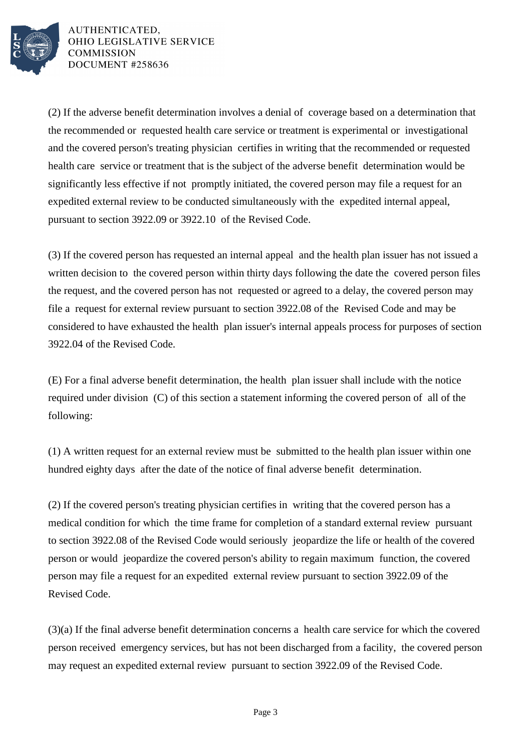

AUTHENTICATED. OHIO LEGISLATIVE SERVICE **COMMISSION** DOCUMENT #258636

(2) If the adverse benefit determination involves a denial of coverage based on a determination that the recommended or requested health care service or treatment is experimental or investigational and the covered person's treating physician certifies in writing that the recommended or requested health care service or treatment that is the subject of the adverse benefit determination would be significantly less effective if not promptly initiated, the covered person may file a request for an expedited external review to be conducted simultaneously with the expedited internal appeal, pursuant to section 3922.09 or 3922.10 of the Revised Code.

(3) If the covered person has requested an internal appeal and the health plan issuer has not issued a written decision to the covered person within thirty days following the date the covered person files the request, and the covered person has not requested or agreed to a delay, the covered person may file a request for external review pursuant to section 3922.08 of the Revised Code and may be considered to have exhausted the health plan issuer's internal appeals process for purposes of section 3922.04 of the Revised Code.

(E) For a final adverse benefit determination, the health plan issuer shall include with the notice required under division (C) of this section a statement informing the covered person of all of the following:

(1) A written request for an external review must be submitted to the health plan issuer within one hundred eighty days after the date of the notice of final adverse benefit determination.

(2) If the covered person's treating physician certifies in writing that the covered person has a medical condition for which the time frame for completion of a standard external review pursuant to section 3922.08 of the Revised Code would seriously jeopardize the life or health of the covered person or would jeopardize the covered person's ability to regain maximum function, the covered person may file a request for an expedited external review pursuant to section 3922.09 of the Revised Code.

(3)(a) If the final adverse benefit determination concerns a health care service for which the covered person received emergency services, but has not been discharged from a facility, the covered person may request an expedited external review pursuant to section 3922.09 of the Revised Code.